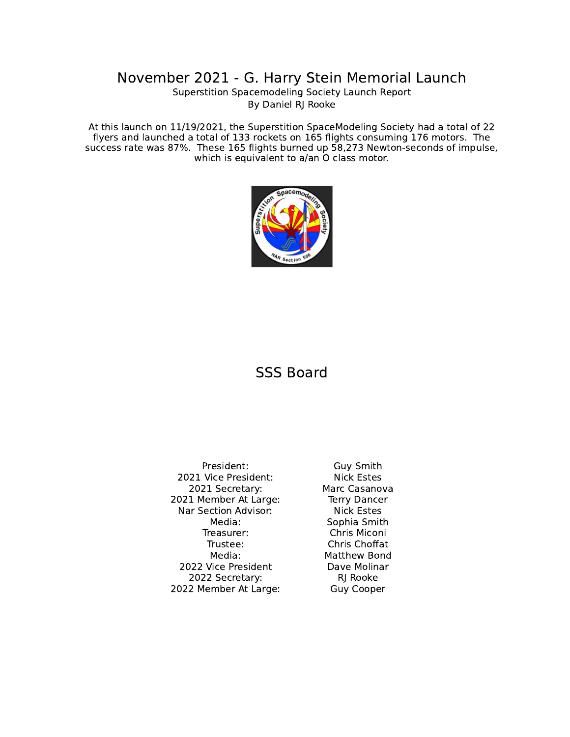## November 2021 - G. Harry Stein Memorial Launch

Superstition Spacemodeling Society Launch Report By Daniel RJ Rooke

At this launch on 11/19/2021, the Superstition SpaceModeling Society had a total of 22 flyers and launched a total of 133 rockets on 165 flights consuming 176 motors. The success rate was 87%. These 165 flights burned up 58,273 Newton-seconds of impulse, which is equivalent to a/an O class motor.



## SSS Board

President: Guy Smith 2021 Vice President: Nick Estes 2021 Secretary: Marc Casanova 2021 Member At Large: Terry Dancer Nar Section Advisor: Nick Estes Media: Sophia Smith Treasurer: Chris Miconi Trustee: Chris Choffat Media: Matthew Bond 2022 Vice President Dave Molinar 2022 Secretary: RJ Rooke 2022 Member At Large: Guy Cooper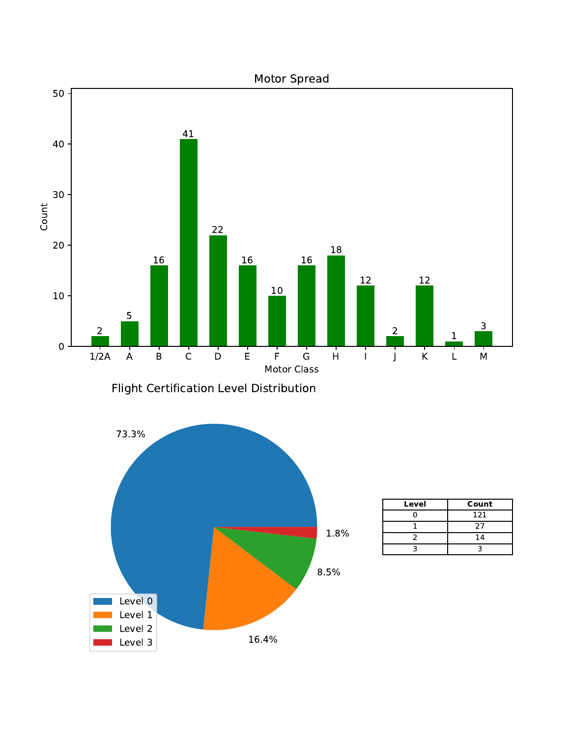

Flight Certification Level Distribution



| Level | Count |
|-------|-------|
|       | 121   |
|       | 27    |
|       | 14    |
|       |       |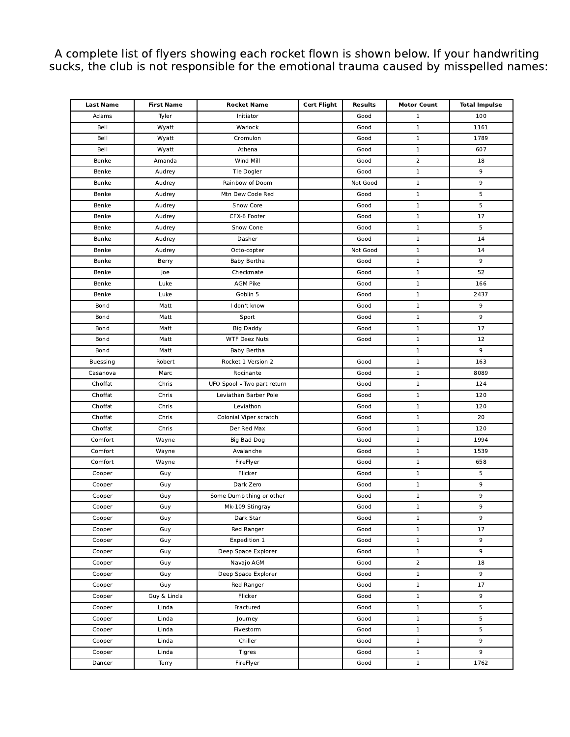A complete list of flyers showing each rocket flown is shown below. If your handwriting sucks, the club is not responsible for the emotional trauma caused by misspelled names:

| <b>Last Name</b> | <b>First Name</b> | Rocket Name                 | <b>Cert Flight</b> | <b>Results</b> | <b>Motor Count</b> | <b>Total Impulse</b> |
|------------------|-------------------|-----------------------------|--------------------|----------------|--------------------|----------------------|
| Adams            | Tyler             | Initiator                   |                    | Good           | $\mathbf{1}$       | 100                  |
| Bell             | Wyatt             | Warlock                     |                    | Good           | $\mathbf{1}$       | 1161                 |
| Bell             | Wyatt             | Cromulon                    |                    | Good           | $\mathbf{1}$       | 1789                 |
| Bell             | Wyatt             | Athena                      |                    | Good           | $\mathbf{1}$       | 607                  |
| Benke            | Amanda            | Wind Mill                   |                    | Good           | 2                  | 18                   |
| Benke            | Audrey            | Tle Dogler                  |                    | Good           | $\mathbf{1}$       | 9                    |
| Benke            | Audrey            | Rainbow of Doom             |                    | Not Good       | $\mathbf{1}$       | 9                    |
| Benke            | Audrey            | Mtn Dew Code Red            |                    | Good           | $\mathbf{1}$       | 5                    |
| Benke            | Audrey            | Snow Core                   |                    | Good           | $\mathbf{1}$       | 5                    |
| Benke            | Audrey            | CFX-6 Footer                |                    | Good           | $\mathbf{1}$       | 17                   |
| Benke            | Audrey            | Snow Cone                   |                    | Good           | $\mathbf{1}$       | 5                    |
| Benke            | Audrey            | Dasher                      |                    | Good           | $\mathbf{1}$       | 14                   |
| Benke            | Audrey            | Octo-copter                 |                    | Not Good       | $\mathbf{1}$       | 14                   |
| Benke            | Berry             | Baby Bertha                 |                    | Good           | $\mathbf{1}$       | 9                    |
| Benke            | Joe               | Checkmate                   |                    | Good           | $\mathbf{1}$       | 52                   |
| Benke            | Luke              | <b>AGM Pike</b>             |                    | Good           | $\mathbf{1}$       | 166                  |
| Benke            | Luke              | Goblin 5                    |                    | Good           | $\mathbf{1}$       | 2437                 |
| Bond             | Matt              | I don't know                |                    | Good           | $\mathbf{1}$       | 9                    |
| Bond             | Matt              | Sport                       |                    | Good           | $\mathbf{1}$       | 9                    |
| Bond             | Matt              | <b>Big Daddy</b>            |                    | Good           | $\mathbf{1}$       | 17                   |
| Bond             | Matt              | <b>WTF Deez Nuts</b>        |                    | Good           | $\mathbf{1}$       | 12                   |
| Bond             | Matt              | Baby Bertha                 |                    |                | $\mathbf{1}$       | 9                    |
| <b>Buessing</b>  | Robert            | Rocket 1 Version 2          |                    | Good           | $\mathbf{1}$       | 163                  |
| Casanova         | Marc              | Rocinante                   |                    | Good           | $\mathbf{1}$       | 8089                 |
| Choffat          | Chris             | UFO Spool - Two part return |                    | Good           | $\mathbf{1}$       | 124                  |
| Choffat          | Chris             | Leviathan Barber Pole       |                    | Good           | $\mathbf{1}$       | 120                  |
| Choffat          | Chris             | Leviathon                   |                    | Good           | $\mathbf{1}$       | 120                  |
| Choffat          | Chris             | Colonial Viper scratch      |                    | Good           | $\mathbf{1}$       | 20                   |
| Choffat          | Chris             | Der Red Max                 |                    | Good           | $\mathbf{1}$       | 120                  |
| Comfort          | Wayne             | <b>Big Bad Dog</b>          |                    | Good           | $\mathbf{1}$       | 1994                 |
| Comfort          | Wayne             | Avalanche                   |                    | Good           | $\mathbf{1}$       | 1539                 |
| Comfort          | Wayne             | FireFlyer                   |                    | Good           | $\mathbf{1}$       | 658                  |
| Cooper           | Guy               | Flicker                     |                    | Good           | $\mathbf{1}$       | 5                    |
| Cooper           | Guy               | Dark Zero                   |                    | Good           | $\mathbf{1}$       | 9                    |
| Cooper           | Guy               | Some Dumb thing or other    |                    | Good           | $\mathbf 1$        | 9                    |
| Cooper           | Guy               | Mk-109 Stingray             |                    | Good           | $\mathbf{1}$       | 9                    |
| Cooper           | Guy               | Dark Star                   |                    | Good           | 1                  | 9                    |
| Cooper           | Guy               | Red Ranger                  |                    | Good           | $\mathbf{1}$       | 17                   |
| Cooper           | Guy               | Expedition 1                |                    | Good           | $\mathbf{1}$       | 9                    |
| Cooper           | Guy               | Deep Space Explorer         |                    | Good           | $\mathbf{1}$       | 9                    |
| Cooper           | Guy               | Navajo AGM                  |                    | Good           | $\overline{2}$     | 18                   |
| Cooper           | Guy               | Deep Space Explorer         |                    | Good           | $\mathbf{1}$       | 9                    |
| Cooper           | Guy               | Red Ranger                  |                    | Good           | $\mathbf{1}$       | 17                   |
| Cooper           | Guy & Linda       | Flicker                     |                    | Good           | $\mathbf{1}$       | 9                    |
| Cooper           | Linda             | Fractured                   |                    | Good           | $\mathbf{1}$       | 5                    |
| Cooper           | Linda             | Journey                     |                    | Good           | $\mathbf{1}$       | 5                    |
| Cooper           | Linda             | Fivestorm                   |                    | Good           | $\mathbf{1}$       | 5                    |
| Cooper           | Linda             | Chiller                     |                    | Good           | $\mathbf{1}$       | 9                    |
| Cooper           | Linda             | Tigres                      |                    | Good           | $\mathbf{1}$       | 9                    |
| Dancer           | Terry             | FireFlyer                   |                    | Good           | $\mathbf{1}$       | 1762                 |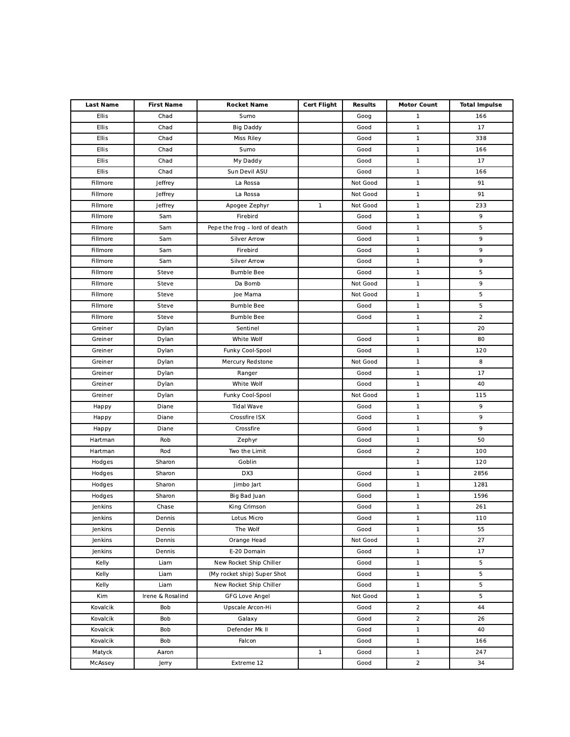| <b>Last Name</b> | <b>First Name</b> | <b>Rocket Name</b>            | <b>Cert Flight</b> | <b>Results</b> | <b>Motor Count</b> | <b>Total Impulse</b> |
|------------------|-------------------|-------------------------------|--------------------|----------------|--------------------|----------------------|
| Ellis            | Chad              | Sumo                          |                    | Goog           | $\mathbf 1$        | 166                  |
| Ellis            | Chad              | <b>Big Daddy</b>              |                    | Good           | $\mathbf 1$        | 17                   |
| Ellis            | Chad              | Miss Riley                    |                    | Good           | $\mathbf 1$        | 338                  |
| Ellis            | Chad              | Sumo                          |                    | Good           | $\mathbf 1$        | 166                  |
| Ellis            | Chad              | My Daddy                      |                    | Good           | $\mathbf 1$        | 17                   |
| Ellis            | Chad              | Sun Devil ASU                 |                    | Good           | $\mathbf 1$        | 166                  |
| Fillmore         | Jeffrey           | La Rossa                      |                    | Not Good       | $\mathbf 1$        | 91                   |
| Fillmore         | Jeffrey           | La Rossa                      |                    | Not Good       | $\mathbf 1$        | 91                   |
| Fillmore         | Jeffrey           | Apogee Zephyr                 | $\mathbf{1}$       | Not Good       | $\mathbf 1$        | 233                  |
| Fillmore         | Sam               | Firebird                      |                    | Good           | $\mathbf 1$        | 9                    |
| Fillmore         | Sam               | Pepe the frog - lord of death |                    | Good           | $\mathbf 1$        | 5                    |
| Fillmore         | Sam               | <b>Silver Arrow</b>           |                    | Good           | $\mathbf 1$        | 9                    |
| Fillmore         | Sam               | Firebird                      |                    | Good           | $\mathbf 1$        | 9                    |
| Fillmore         | Sam               | Silver Arrow                  |                    | Good           | $\mathbf 1$        | 9                    |
| Fillmore         | Steve             | <b>Bumble Bee</b>             |                    | Good           | $\mathbf 1$        | 5                    |
| Fillmore         | Steve             | Da Bomb                       |                    | Not Good       | $\mathbf 1$        | 9                    |
| Fillmore         | Steve             | Joe Mama                      |                    | Not Good       | $\mathbf 1$        | 5                    |
| Fillmore         | Steve             | <b>Bumble Bee</b>             |                    | Good           | $\mathbf 1$        | 5                    |
| Fillmore         | Steve             | <b>Bumble Bee</b>             |                    | Good           | $\mathbf 1$        | $\overline{2}$       |
| Greiner          | Dylan             | Sentinel                      |                    |                | $\mathbf 1$        | 20                   |
| Greiner          | Dylan             | White Wolf                    |                    | Good           | $\mathbf 1$        | 80                   |
| Greiner          | Dylan             | Funky Cool-Spool              |                    | Good           | $\mathbf 1$        | 120                  |
| Greiner          | Dylan             | Mercury Redstone              |                    | Not Good       | $\mathbf 1$        | 8                    |
| Greiner          | Dylan             | Ranger                        |                    | Good           | $\mathbf 1$        | 17                   |
| Greiner          | Dylan             | White Wolf                    |                    | Good           | $\mathbf 1$        | 40                   |
| Greiner          | Dylan             | Funky Cool-Spool              |                    | Not Good       | $\mathbf 1$        | 115                  |
| Happy            | Diane             | <b>Tidal Wave</b>             |                    | Good           | $\mathbf 1$        | 9                    |
| Happy            | Diane             | Crossfire ISX                 |                    | Good           | $\mathbf 1$        | 9                    |
| Happy            | Diane             | Crossfire                     |                    | Good           | $\mathbf 1$        | 9                    |
| Hartman          | Rob               | Zephyr                        |                    | Good           | $\mathbf 1$        | 50                   |
| Hartman          | Rod               | Two the Limit                 |                    | Good           | $\overline{2}$     | 100                  |
| Hodges           | Sharon            | Goblin                        |                    |                | $\mathbf 1$        | 120                  |
| Hodges           | Sharon            | DX3                           |                    | Good           | $\mathbf 1$        | 2856                 |
| Hodges           | Sharon            | Jimbo Jart                    |                    | Good           | $\mathbf 1$        | 1281                 |
| Hodges           | Sharon            | Big Bad Juan                  |                    | Good           | $\mathbf 1$        | 1596                 |
| Jenkins          | Chase             | King Crimson                  |                    | Good           | $\mathbf 1$        | 261                  |
| Jenkins          | Dennis            | Lotus Micro                   |                    | Good           | ı                  | 110                  |
| Jenkins          | Dennis            | The Wolf                      |                    | Good           | $\mathbf 1$        | 55                   |
| Jenkins          | Dennis            | Orange Head                   |                    | Not Good       | $\mathbf 1$        | 27                   |
| Jenkins          | Dennis            | E-20 Domain                   |                    | Good           | $\mathbf 1$        | 17                   |
| Kelly            | Liam              | New Rocket Ship Chiller       |                    | Good           | $\mathbf 1$        | 5                    |
| Kelly            | Liam              | (My rocket ship) Super Shot   |                    | Good           | $\mathbf 1$        | 5                    |
| Kelly            | Liam              | New Rocket Ship Chiller       |                    | Good           | $\mathbf 1$        | 5                    |
| Kim              | Irene & Rosalind  | <b>GFG Love Angel</b>         |                    | Not Good       | $\mathbf 1$        | 5                    |
| Kovalcik         | Bob               | Upscale Arcon-Hi              |                    | Good           | $\overline{2}$     | 44                   |
| Kovalcik         | Bob               | Galaxy                        |                    | Good           | $\overline{2}$     | 26                   |
| Kovalcik         | Bob               | Defender Mk II                |                    | Good           | $\mathbf 1$        | 40                   |
| Kovalcik         | Bob               | Falcon                        |                    | Good           | $\mathbf 1$        | 166                  |
| Matyck           | Aaron             |                               | $\mathbf{1}$       | Good           | $\mathbf{1}$       | 247                  |
| McAssey          | Jerry             | Extreme 12                    |                    | Good           | $\overline{2}$     | 34                   |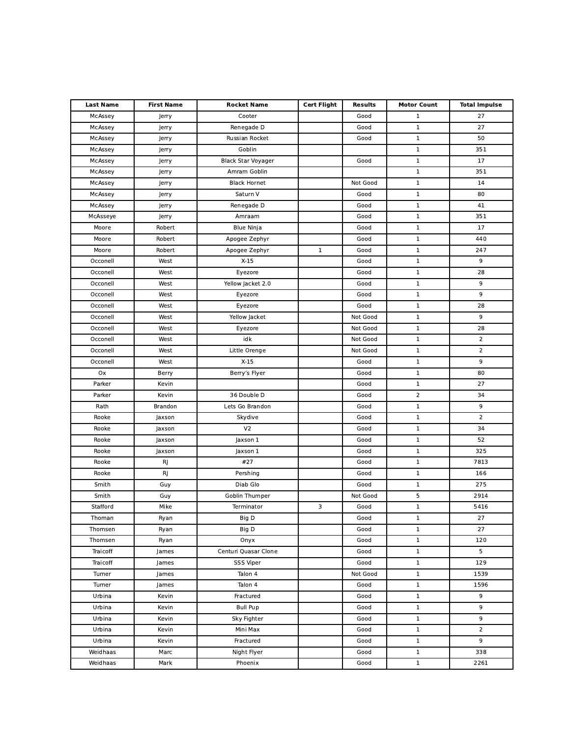| <b>Last Name</b> | <b>First Name</b> | <b>Rocket Name</b>   | <b>Cert Flight</b> | <b>Results</b> | <b>Motor Count</b> | <b>Total Impulse</b> |
|------------------|-------------------|----------------------|--------------------|----------------|--------------------|----------------------|
| McAssey          | Jerry             | Cooter               |                    | Good           | $\mathbf{1}$       | 27                   |
| McAssey          | Jerry             | Renegade D           |                    | Good           | $\mathbf 1$        | 27                   |
| McAssey          | Jerry             | Russian Rocket       |                    | Good           | $\mathbf 1$        | 50                   |
| McAssey          | Jerry             | Goblin               |                    |                | $\mathbf 1$        | 351                  |
| McAssey          | Jerry             | Black Star Voyager   |                    | Good           | $\mathbf 1$        | 17                   |
| McAssey          | Jerry             | Amram Goblin         |                    |                | $\mathbf 1$        | 351                  |
| McAssey          | Jerry             | <b>Black Hornet</b>  |                    | Not Good       | $\mathbf 1$        | 14                   |
| McAssey          | Jerry             | Saturn V             |                    | Good           | $\mathbf 1$        | 80                   |
| McAssey          | Jerry             | Renegade D           |                    | Good           | $\mathbf 1$        | 41                   |
| McAsseye         | Jerry             | Amraam               |                    | Good           | $\mathbf 1$        | 351                  |
| Moore            | Robert            | <b>Blue Ninja</b>    |                    | Good           | $\mathbf 1$        | 17                   |
| Moore            | Robert            | Apogee Zephyr        |                    | Good           | $\mathbf 1$        | 440                  |
| Moore            | Robert            | Apogee Zephyr        | $\mathbf{1}$       | Good           | $\mathbf 1$        | 247                  |
| Occonell         | West              | $X-15$               |                    | Good           | $\mathbf 1$        | 9                    |
| Occonell         | West              | Eyezore              |                    | Good           | $\mathbf 1$        | 28                   |
| Occonell         | West              | Yellow Jacket 2.0    |                    | Good           | $\mathbf 1$        | 9                    |
| Occonell         | West              | Eyezore              |                    | Good           | $\mathbf 1$        | 9                    |
| Occonell         | West              | Eyezore              |                    | Good           | $\mathbf 1$        | 28                   |
| Occonell         | West              | Yellow Jacket        |                    | Not Good       | $\mathbf 1$        | 9                    |
| Occonell         | West              | Eyezore              |                    | Not Good       | $\mathbf 1$        | 28                   |
| Occonell         | West              | idk                  |                    | Not Good       | $\mathbf 1$        | $\overline{2}$       |
| Occonell         | West              | Little Orenge        |                    | Not Good       | $\mathbf 1$        | $\overline{2}$       |
| Occonell         | West              | $X-15$               |                    | Good           | $\mathbf 1$        | 9                    |
| Ox               | Berry             | Berry's Flyer        |                    | Good           | $\mathbf 1$        | 80                   |
| Parker           | Kevin             |                      |                    | Good           | $\mathbf 1$        | 27                   |
| Parker           | Kevin             | 36 Double D          |                    | Good           | $\mathbf 2$        | 34                   |
| Rath             | Brandon           | Lets Go Brandon      |                    | Good           | $\mathbf 1$        | 9                    |
| Rooke            | Jaxson            | Skydive              |                    | Good           | $\mathbf 1$        | $\overline{2}$       |
| Rooke            | Jaxson            | V <sub>2</sub>       |                    | Good           | $\mathbf 1$        | 34                   |
| Rooke            | Jaxson            | Jaxson 1             |                    | Good           | $\mathbf 1$        | 52                   |
| Rooke            | Jaxson            | Jaxson 1             |                    | Good           | $\mathbf 1$        | 325                  |
| Rooke            | RJ                | #27                  |                    | Good           | $\mathbf 1$        | 7813                 |
| Rooke            | RJ                | Pershing             |                    | Good           | $\mathbf 1$        | 166                  |
| Smith            | Guy               | Diab Glo             |                    | Good           | $\mathbf 1$        | 275                  |
| Smith            | Guy               | Goblin Thumper       |                    | Not Good       | 5                  | 2914                 |
| Stafford         | Mike              | Terminator           | 3                  | Good           | $\mathbf 1$        | 5416                 |
| Thoman           | Ryan              | Big D                |                    | Good           | ı                  | 27                   |
| Thomsen          | Ryan              | Big D                |                    | Good           | $\mathbf 1$        | 27                   |
| Thomsen          | Ryan              | Onyx                 |                    | Good           | $\mathbf{1}$       | 120                  |
| Traicoff         | James             | Centuri Quasar Clone |                    | Good           | $\mathbf{1}$       | 5                    |
| Traicoff         | James             | SSS Viper            |                    | Good           | $\mathbf{1}$       | 129                  |
| Turner           | James             | Talon 4              |                    | Not Good       | $\mathbf{1}$       | 1539                 |
| Turner           | James             | Talon 4              |                    | Good           | $\mathbf{1}$       | 1596                 |
| Urbina           | Kevin             | Fractured            |                    | Good           | $\mathbf{1}$       | 9                    |
| Urbina           | Kevin             | <b>Bull Pup</b>      |                    | Good           | $\mathbf{1}$       | 9                    |
| Urbina           | Kevin             | Sky Fighter          |                    | Good           | $\mathbf{1}$       | 9                    |
| Urbina           | Kevin             | Mini Max             |                    | Good           | $\mathbf{1}$       | $\overline{2}$       |
| Urbina           | Kevin             | Fractured            |                    | Good           | $\mathbf{1}$       | 9                    |
| Weidhaas         | Marc              | Night Flyer          |                    | Good           | $\mathbf{1}$       | 338                  |
| Weidhaas         | Mark              | Phoenix              |                    | Good           | $\mathbf{1}$       | 2261                 |